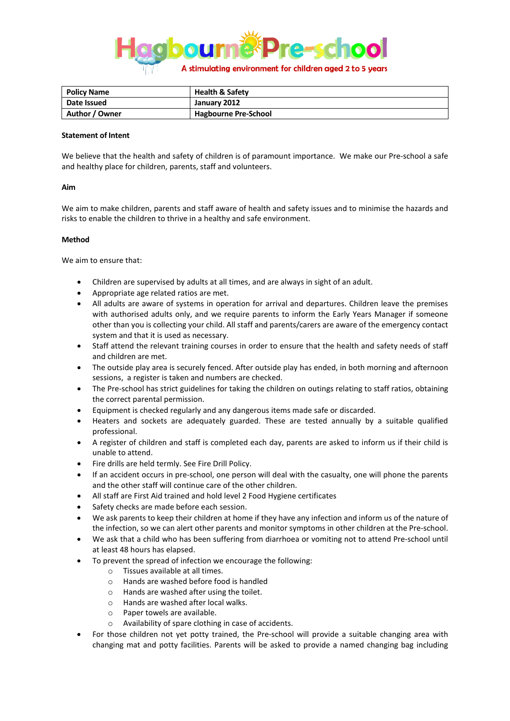

| <b>Policy Name</b> | <b>Health &amp; Safety</b>  |
|--------------------|-----------------------------|
| Date Issued        | January 2012                |
| Author / Owner     | <b>Hagbourne Pre-School</b> |

## **Statement of Intent**

We believe that the health and safety of children is of paramount importance. We make our Pre-school a safe and healthy place for children, parents, staff and volunteers.

## **Aim**

We aim to make children, parents and staff aware of health and safety issues and to minimise the hazards and risks to enable the children to thrive in a healthy and safe environment.

## **Method**

We aim to ensure that:

- Children are supervised by adults at all times, and are always in sight of an adult.
- Appropriate age related ratios are met.
- All adults are aware of systems in operation for arrival and departures. Children leave the premises with authorised adults only, and we require parents to inform the Early Years Manager if someone other than you is collecting your child. All staff and parents/carers are aware of the emergency contact system and that it is used as necessary.
- Staff attend the relevant training courses in order to ensure that the health and safety needs of staff and children are met.
- The outside play area is securely fenced. After outside play has ended, in both morning and afternoon sessions, a register is taken and numbers are checked.
- The Pre-school has strict guidelines for taking the children on outings relating to staff ratios, obtaining the correct parental permission.
- Equipment is checked regularly and any dangerous items made safe or discarded.
- Heaters and sockets are adequately guarded. These are tested annually by a suitable qualified professional.
- A register of children and staff is completed each day, parents are asked to inform us if their child is unable to attend.
- Fire drills are held termly. See Fire Drill Policy.
- If an accident occurs in pre-school, one person will deal with the casualty, one will phone the parents and the other staff will continue care of the other children.
- All staff are First Aid trained and hold level 2 Food Hygiene certificates
- Safety checks are made before each session.
- We ask parents to keep their children at home if they have any infection and inform us of the nature of the infection, so we can alert other parents and monitor symptoms in other children at the Pre-school.
- We ask that a child who has been suffering from diarrhoea or vomiting not to attend Pre-school until at least 48 hours has elapsed.
- To prevent the spread of infection we encourage the following:
	- o Tissues available at all times.
	- o Hands are washed before food is handled
	- o Hands are washed after using the toilet.
	- o Hands are washed after local walks.
	- o Paper towels are available.
	- o Availability of spare clothing in case of accidents.
- For those children not yet potty trained, the Pre-school will provide a suitable changing area with changing mat and potty facilities. Parents will be asked to provide a named changing bag including